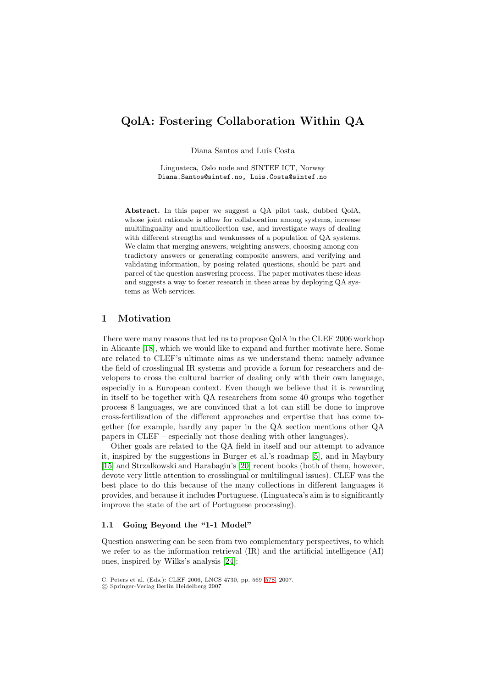# **QolA: Fostering Collaboration Within QA**

Diana Santos and Luís Costa

Linguateca, Oslo node and SINTEF ICT, Norway Diana.Santos@sintef.no, Luis.Costa@sintef.no

**Abstract.** In this paper we suggest a QA pilot task, dubbed QolA, whose joint rationale is allow for collaboration among systems, increase multilinguality and multicollection use, and investigate ways of dealing with different strengths and weaknesses of a population of QA systems. We claim that merging answers, weighting answers, choosing among contradictory answers or generating composite answers, and verifying and validating information, by posing related questions, should be part and parcel of the question answering process. The paper motivates these ideas and suggests a way to foster research in these areas by deploying QA systems as Web services.

# **1 Motivation**

There were many reasons that led us to propose QolA in the CLEF 2006 workhop in Alicante [\[18\]](#page-9-0), which we would like to expand and further motivate here. Some are related to CLEF's ultimate aims as we understand them: namely advance the field of crosslingual IR systems and provide a forum for researchers and developers to cross the cultural barrier of dealing only with their own language, especially in a European context. Even though we believe that it is rewarding in itself to be together with QA researchers from some 40 groups who together process 8 languages, we are convinced that a lot can still be done to improve cross-fertilization of the different approaches and expertise that has come together (for example, hardly any paper in the QA section mentions other QA papers in CLEF – especially not those dealing with other languages).

Other goals are related to the QA field in itself and our attempt to advance it, inspired by the suggestions in Burger et al.'s roadmap [\[5\]](#page-8-0), and in Maybury [\[15\]](#page-8-1) and Strzalkowski and Harabagiu's [\[20\]](#page-9-1) recent books (both of them, however, devote very little attention to crosslingual or multilingual issues). CLEF was the best place to do this because of the many collections in different languages it provides, and because it includes Portuguese. (Linguateca's aim is to significantly improve the state of the art of Portuguese processing).

# **1.1 Going Beyond the "1-1 Model"**

Question answering can be seen from two complementary perspectives, to which we refer to as the information retrieval (IR) and the artificial intelligence (AI) ones, inspired by Wilks's analysis [\[24\]](#page-9-2):

C. Peters et al. (Eds.): CLEF 2006, LNCS 4730, pp. 569[–578,](#page-7-0) 2007.

<sup>-</sup>c Springer-Verlag Berlin Heidelberg 2007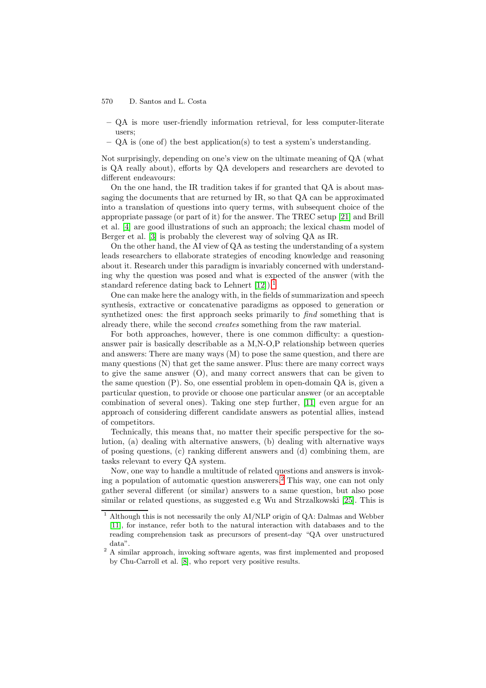- **–** QA is more user-friendly information retrieval, for less computer-literate users;
- **–** QA is (one of) the best application(s) to test a system's understanding.

Not surprisingly, depending on one's view on the ultimate meaning of QA (what is QA really about), efforts by QA developers and researchers are devoted to different endeavours:

On the one hand, the IR tradition takes if for granted that QA is about massaging the documents that are returned by IR, so that QA can be approximated into a translation of questions into query terms, with subsequent choice of the appropriate passage (or part of it) for the answer. The TREC setup [\[21\]](#page-9-3) and Brill et al. [\[4\]](#page-8-2) are good illustrations of such an approach; the lexical chasm model of Berger et al. [\[3\]](#page-8-3) is probably the cleverest way of solving QA as IR.

On the other hand, the AI view of QA as testing the understanding of a system leads researchers to ellaborate strategies of encoding knowledge and reasoning about it. Research under this paradigm is invariably concerned with understanding why the question was posed and what is expected of the answer (with the standard reference dating back to Lehnert  $[12]$ .<sup>[1](#page-1-0)</sup>

One can make here the analogy with, in the fields of summarization and speech synthesis, extractive or concatenative paradigms as opposed to generation or synthetized ones: the first approach seeks primarily to find something that is already there, while the second creates something from the raw material.

For both approaches, however, there is one common difficulty: a questionanswer pair is basically describable as a M,N-O,P relationship between queries and answers: There are many ways (M) to pose the same question, and there are many questions (N) that get the same answer. Plus: there are many correct ways to give the same answer (O), and many correct answers that can be given to the same question (P). So, one essential problem in open-domain QA is, given a particular question, to provide or choose one particular answer (or an acceptable combination of several ones). Taking one step further, [\[11\]](#page-8-5) even argue for an approach of considering different candidate answers as potential allies, instead of competitors.

Technically, this means that, no matter their specific perspective for the solution, (a) dealing with alternative answers, (b) dealing with alternative ways of posing questions, (c) ranking different answers and (d) combining them, are tasks relevant to every QA system.

Now, one way to handle a multitude of related questions and answers is invoking a population of automatic question answerers.[2](#page-1-1) This way, one can not only gather several different (or similar) answers to a same question, but also pose similar or related questions, as suggested e.g Wu and Strzalkowski [\[25\]](#page-9-4). This is

<span id="page-1-0"></span><sup>&</sup>lt;sup>1</sup> Although this is not necessarily the only  $A I/ NLP$  origin of QA: Dalmas and Webber [\[11\]](#page-8-5), for instance, refer both to the natural interaction with databases and to the reading comprehension task as precursors of present-day "QA over unstructured data".

<span id="page-1-1"></span><sup>&</sup>lt;sup>2</sup> A similar approach, invoking software agents, was first implemented and proposed by Chu-Carroll et al. [\[8\]](#page-8-6), who report very positive results.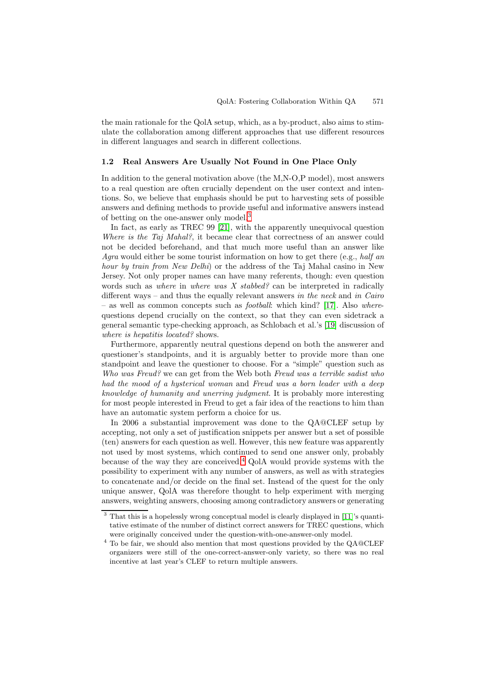the main rationale for the QolA setup, which, as a by-product, also aims to stimulate the collaboration among different approaches that use different resources in different languages and search in different collections.

### **1.2 Real Answers Are Usually Not Found in One Place Only**

In addition to the general motivation above (the M,N-O,P model), most answers to a real question are often crucially dependent on the user context and intentions. So, we believe that emphasis should be put to harvesting sets of possible answers and defining methods to provide useful and informative answers instead of betting on the one-answer only model.[3](#page-2-0)

In fact, as early as TREC 99 [\[21\]](#page-9-3), with the apparently unequivocal question Where is the Taj Mahal?, it became clear that correctness of an answer could not be decided beforehand, and that much more useful than an answer like *Agra* would either be some tourist information on how to get there (e.g., *half an* hour by train from New Delhi) or the address of the Taj Mahal casino in New Jersey. Not only proper names can have many referents, though: even question words such as *where* in *where was X stabbed?* can be interpreted in radically different ways – and thus the equally relevant answers in the neck and in Cairo – as well as common concepts such as football: which kind? [\[17\]](#page-8-7). Also wherequestions depend crucially on the context, so that they can even sidetrack a general semantic type-checking approach, as Schlobach et al.'s [\[19\]](#page-9-5) discussion of where is hepatitis located? shows.

Furthermore, apparently neutral questions depend on both the answerer and questioner's standpoints, and it is arguably better to provide more than one standpoint and leave the questioner to choose. For a "simple" question such as Who was Freud? we can get from the Web both Freud was a terrible sadist who had the mood of a hysterical woman and Freud was a born leader with a deep knowledge of humanity and unerring judgment. It is probably more interesting for most people interested in Freud to get a fair idea of the reactions to him than have an automatic system perform a choice for us.

In 2006 a substantial improvement was done to the QA@CLEF setup by accepting, not only a set of justification snippets per answer but a set of possible (ten) answers for each question as well. However, this new feature was apparently not used by most systems, which continued to send one answer only, probably because of the way they are conceived.[4](#page-2-1) QolA would provide systems with the possibility to experiment with any number of answers, as well as with strategies to concatenate and/or decide on the final set. Instead of the quest for the only unique answer, QolA was therefore thought to help experiment with merging answers, weighting answers, choosing among contradictory answers or generating

<span id="page-2-0"></span><sup>&</sup>lt;sup>3</sup> That this is a hopelessly wrong conceptual model is clearly displayed in [\[11\]](#page-8-5)'s quantitative estimate of the number of distinct correct answers for TREC questions, which were originally conceived under the question-with-one-answer-only model.

<span id="page-2-1"></span><sup>&</sup>lt;sup>4</sup> To be fair, we should also mention that most questions provided by the QA@CLEF organizers were still of the one-correct-answer-only variety, so there was no real incentive at last year's CLEF to return multiple answers.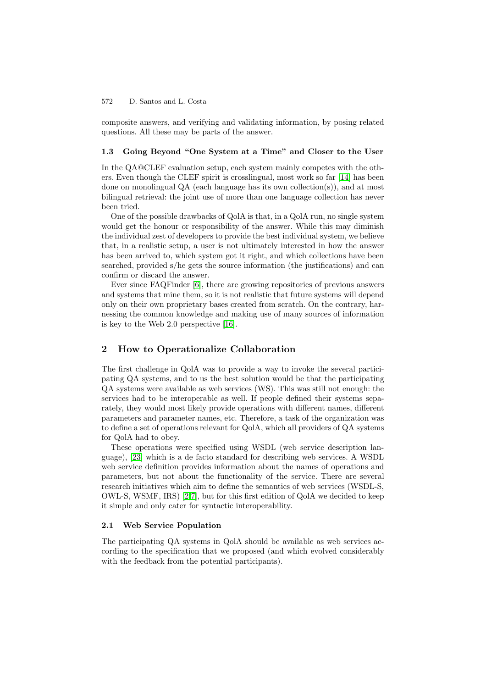composite answers, and verifying and validating information, by posing related questions. All these may be parts of the answer.

# **1.3 Going Beyond "One System at a Time" and Closer to the User**

In the QA@CLEF evaluation setup, each system mainly competes with the others. Even though the CLEF spirit is crosslingual, most work so far [\[14\]](#page-8-8) has been done on monolingual  $QA$  (each language has its own collection(s)), and at most bilingual retrieval: the joint use of more than one language collection has never been tried.

One of the possible drawbacks of QolA is that, in a QolA run, no single system would get the honour or responsibility of the answer. While this may diminish the individual zest of developers to provide the best individual system, we believe that, in a realistic setup, a user is not ultimately interested in how the answer has been arrived to, which system got it right, and which collections have been searched, provided s/he gets the source information (the justifications) and can confirm or discard the answer.

Ever since FAQFinder [\[6\]](#page-8-9), there are growing repositories of previous answers and systems that mine them, so it is not realistic that future systems will depend only on their own proprietary bases created from scratch. On the contrary, harnessing the common knowledge and making use of many sources of information is key to the Web 2.0 perspective [\[16\]](#page-8-10).

# **2 How to Operationalize Collaboration**

The first challenge in QolA was to provide a way to invoke the several participating QA systems, and to us the best solution would be that the participating QA systems were available as web services (WS). This was still not enough: the services had to be interoperable as well. If people defined their systems separately, they would most likely provide operations with different names, different parameters and parameter names, etc. Therefore, a task of the organization was to define a set of operations relevant for QolA, which all providers of QA systems for QolA had to obey.

These operations were specified using WSDL (web service description language), [\[23\]](#page-9-6) which is a de facto standard for describing web services. A WSDL web service definition provides information about the names of operations and parameters, but not about the functionality of the service. There are several research initiatives which aim to define the semantics of web services (WSDL-S, OWL-S, WSMF, IRS) [\[2,](#page-7-1)[7\]](#page-8-11), but for this first edition of QolA we decided to keep it simple and only cater for syntactic interoperability.

### **2.1 Web Service Population**

The participating QA systems in QolA should be available as web services according to the specification that we proposed (and which evolved considerably with the feedback from the potential participants).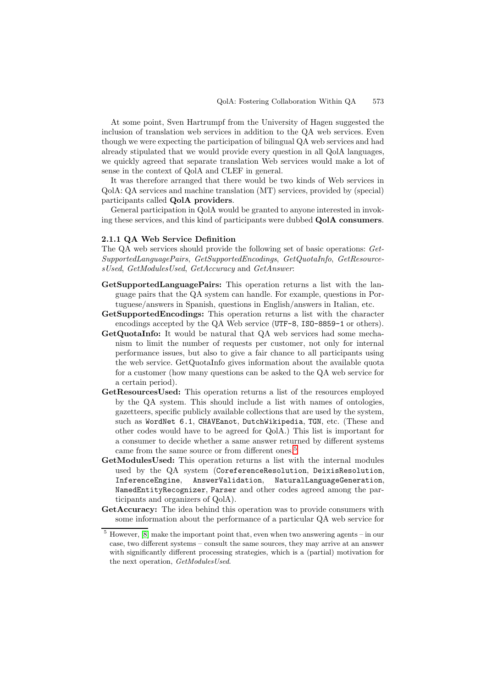At some point, Sven Hartrumpf from the University of Hagen suggested the inclusion of translation web services in addition to the QA web services. Even though we were expecting the participation of bilingual QA web services and had already stipulated that we would provide every question in all QolA languages, we quickly agreed that separate translation Web services would make a lot of sense in the context of QolA and CLEF in general.

It was therefore arranged that there would be two kinds of Web services in QolA: QA services and machine translation (MT) services, provided by (special) participants called **QolA providers**.

General participation in QolA would be granted to anyone interested in invoking these services, and this kind of participants were dubbed **QolA consumers**.

### **2.1.1 QA Web Service Definition**

The QA web services should provide the following set of basic operations: Get-SupportedLanguagePairs, GetSupportedEncodings, GetQuotaInfo, GetResourcesUsed, GetModulesUsed, GetAccuracy and GetAnswer:

- **GetSupportedLanguagePairs:** This operation returns a list with the language pairs that the QA system can handle. For example, questions in Portuguese/answers in Spanish, questions in English/answers in Italian, etc.
- **GetSupportedEncodings:** This operation returns a list with the character encodings accepted by the QA Web service (UTF-8, ISO-8859-1 or others).
- **GetQuotaInfo:** It would be natural that QA web services had some mechanism to limit the number of requests per customer, not only for internal performance issues, but also to give a fair chance to all participants using the web service. GetQuotaInfo gives information about the available quota for a customer (how many questions can be asked to the QA web service for a certain period).
- **GetResourcesUsed:** This operation returns a list of the resources employed by the QA system. This should include a list with names of ontologies, gazetteers, specific publicly available collections that are used by the system, such as WordNet 6.1, CHAVEanot, DutchWikipedia, TGN, etc. (These and other codes would have to be agreed for QolA.) This list is important for a consumer to decide whether a same answer returned by different systems came from the same source or from different ones.<sup>[5](#page-4-0)</sup>
- **GetModulesUsed:** This operation returns a list with the internal modules used by the QA system (CoreferenceResolution, DeixisResolution, InferenceEngine, AnswerValidation, NaturalLanguageGeneration, NamedEntityRecognizer, Parser and other codes agreed among the participants and organizers of QolA).
- **GetAccuracy:** The idea behind this operation was to provide consumers with some information about the performance of a particular QA web service for

<span id="page-4-0"></span> $5$  However, [\[8\]](#page-8-6) make the important point that, even when two answering agents – in our case, two different systems – consult the same sources, they may arrive at an answer with significantly different processing strategies, which is a (partial) motivation for the next operation,  $GetModulesUsed$ .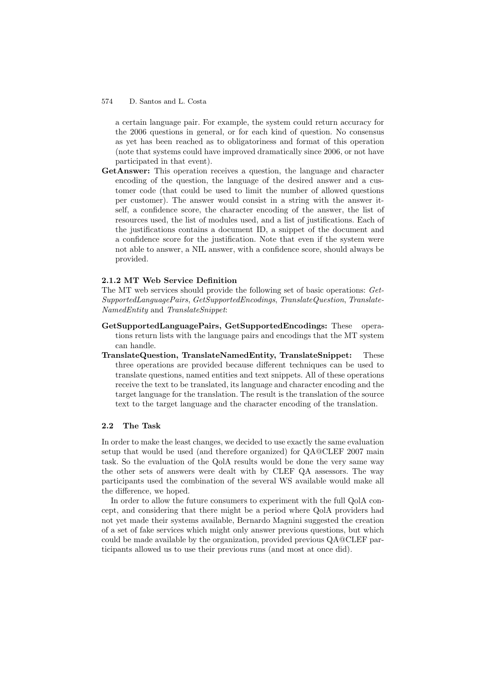a certain language pair. For example, the system could return accuracy for the 2006 questions in general, or for each kind of question. No consensus as yet has been reached as to obligatoriness and format of this operation (note that systems could have improved dramatically since 2006, or not have participated in that event).

**GetAnswer:** This operation receives a question, the language and character encoding of the question, the language of the desired answer and a customer code (that could be used to limit the number of allowed questions per customer). The answer would consist in a string with the answer itself, a confidence score, the character encoding of the answer, the list of resources used, the list of modules used, and a list of justifications. Each of the justifications contains a document ID, a snippet of the document and a confidence score for the justification. Note that even if the system were not able to answer, a NIL answer, with a confidence score, should always be provided.

### **2.1.2 MT Web Service Definition**

The MT web services should provide the following set of basic operations: Get-SupportedLanguagePairs, GetSupportedEncodings, TranslateQuestion, Translate-NamedEntity and TranslateSnippet:

- **GetSupportedLanguagePairs, GetSupportedEncodings:** These operations return lists with the language pairs and encodings that the MT system can handle.
- **TranslateQuestion, TranslateNamedEntity, TranslateSnippet:** These three operations are provided because different techniques can be used to translate questions, named entities and text snippets. All of these operations receive the text to be translated, its language and character encoding and the target language for the translation. The result is the translation of the source text to the target language and the character encoding of the translation.

## **2.2 The Task**

In order to make the least changes, we decided to use exactly the same evaluation setup that would be used (and therefore organized) for QA@CLEF 2007 main task. So the evaluation of the QolA results would be done the very same way the other sets of answers were dealt with by CLEF QA assessors. The way participants used the combination of the several WS available would make all the difference, we hoped.

In order to allow the future consumers to experiment with the full QolA concept, and considering that there might be a period where QolA providers had not yet made their systems available, Bernardo Magnini suggested the creation of a set of fake services which might only answer previous questions, but which could be made available by the organization, provided previous QA@CLEF participants allowed us to use their previous runs (and most at once did).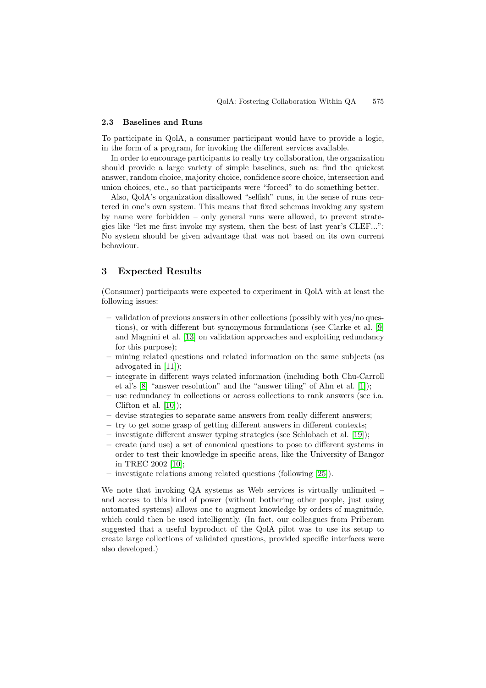# **2.3 Baselines and Runs**

To participate in QolA, a consumer participant would have to provide a logic, in the form of a program, for invoking the different services available.

In order to encourage participants to really try collaboration, the organization should provide a large variety of simple baselines, such as: find the quickest answer, random choice, majority choice, confidence score choice, intersection and union choices, etc., so that participants were "forced" to do something better.

Also, QolA's organization disallowed "selfish" runs, in the sense of runs centered in one's own system. This means that fixed schemas invoking any system by name were forbidden – only general runs were allowed, to prevent strategies like "let me first invoke my system, then the best of last year's CLEF...": No system should be given advantage that was not based on its own current behaviour.

# **3 Expected Results**

(Consumer) participants were expected to experiment in QolA with at least the following issues:

- **–** validation of previous answers in other collections (possibly with yes/no questions), or with different but synonymous formulations (see Clarke et al. [\[9\]](#page-8-12) and Magnini et al. [\[13\]](#page-8-13) on validation approaches and exploiting redundancy for this purpose);
- **–** mining related questions and related information on the same subjects (as advogated in [\[11\]](#page-8-5));
- **–** integrate in different ways related information (including both Chu-Carroll et al's [\[8\]](#page-8-6) "answer resolution" and the "answer tiling" of Ahn et al. [\[1\]](#page-7-2));
- **–** use redundancy in collections or across collections to rank answers (see i.a. Clifton et al. [\[10\]](#page-8-14));
- **–** devise strategies to separate same answers from really different answers;
- **–** try to get some grasp of getting different answers in different contexts;
- **–** investigate different answer typing strategies (see Schlobach et al. [\[19\]](#page-9-5));
- **–** create (and use) a set of canonical questions to pose to different systems in order to test their knowledge in specific areas, like the University of Bangor in TREC 2002 [\[10\]](#page-8-14);
- **–** investigate relations among related questions (following [\[25\]](#page-9-4)).

We note that invoking QA systems as Web services is virtually unlimited – and access to this kind of power (without bothering other people, just using automated systems) allows one to augment knowledge by orders of magnitude, which could then be used intelligently. (In fact, our colleagues from Priberam suggested that a useful byproduct of the QolA pilot was to use its setup to create large collections of validated questions, provided specific interfaces were also developed.)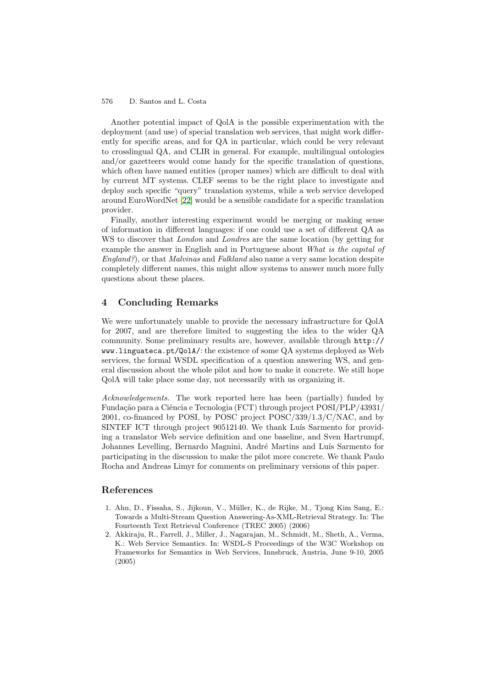Another potential impact of QolA is the possible experimentation with the deployment (and use) of special translation web services, that might work differently for specific areas, and for QA in particular, which could be very relevant to crosslingual QA, and CLIR in general. For example, multilingual ontologies and/or gazetteers would come handy for the specific translation of questions, which often have named entities (proper names) which are difficult to deal with by current MT systems. CLEF seems to be the right place to investigate and deploy such specific "query" translation systems, while a web service developed around EuroWordNet [\[22\]](#page-9-7) would be a sensible candidate for a specific translation provider.

Finally, another interesting experiment would be merging or making sense of information in different languages: if one could use a set of different QA as WS to discover that *London* and *Londres* are the same location (by getting for example the answer in English and in Portuguese about What is the capital of England?), or that *Malvinas* and *Falkland* also name a very same location despite completely different names, this might allow systems to answer much more fully questions about these places.

# **4 Concluding Remarks**

We were unfortunately unable to provide the necessary infrastructure for QolA for 2007, and are therefore limited to suggesting the idea to the wider QA community. Some preliminary results are, however, available through http:// www.linguateca.pt/QolA/: the existence of some QA systems deployed as Web services, the formal WSDL specification of a question answering WS, and general discussion about the whole pilot and how to make it concrete. We still hope QolA will take place some day, not necessarily with us organizing it.

Acknowledgements. The work reported here has been (partially) funded by Fundação para a Ciência e Tecnologia (FCT) through project POSI/PLP/43931/ 2001, co-financed by POSI, by POSC project POSC/339/1.3/C/NAC, and by SINTEF ICT through project 90512140. We thank Luís Sarmento for providing a translator Web service definition and one baseline, and Sven Hartrumpf, Johannes Levelling, Bernardo Magnini, André Martins and Luís Sarmento for participating in the discussion to make the pilot more concrete. We thank Paulo Rocha and Andreas Limyr for comments on preliminary versions of this paper.

### <span id="page-7-2"></span><span id="page-7-0"></span>**References**

- 1. Ahn, D., Fissaha, S., Jijkoun, V., M¨uller, K., de Rijke, M., Tjong Kim Sang, E.: Towards a Multi-Stream Question Answering-As-XML-Retrieval Strategy. In: The Fourteenth Text Retrieval Conference (TREC 2005) (2006)
- <span id="page-7-1"></span>2. Akkiraju, R., Farrell, J., Miller, J., Nagarajan, M., Schmidt, M., Sheth, A., Verma, K.: Web Service Semantics. In: WSDL-S Proceedings of the W3C Workshop on Frameworks for Semantics in Web Services, Innsbruck, Austria, June 9-10, 2005 (2005)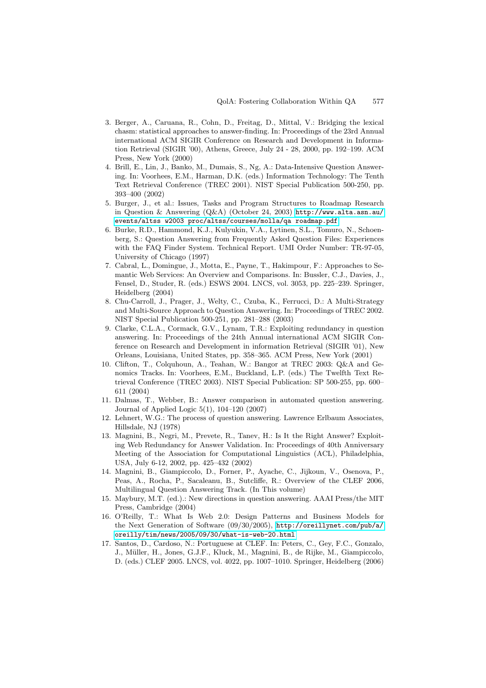- <span id="page-8-3"></span>3. Berger, A., Caruana, R., Cohn, D., Freitag, D., Mittal, V.: Bridging the lexical chasm: statistical approaches to answer-finding. In: Proceedings of the 23rd Annual international ACM SIGIR Conference on Research and Development in Information Retrieval (SIGIR '00), Athens, Greece, July 24 - 28, 2000, pp. 192–199. ACM Press, New York (2000)
- <span id="page-8-2"></span>4. Brill, E., Lin, J., Banko, M., Dumais, S., Ng, A.: Data-Intensive Question Answering. In: Voorhees, E.M., Harman, D.K. (eds.) Information Technology: The Tenth Text Retrieval Conference (TREC 2001). NIST Special Publication 500-250, pp. 393–400 (2002)
- <span id="page-8-0"></span>5. Burger, J., et al.: Issues, Tasks and Program Structures to Roadmap Research in Question & Answering (Q&A) (October 24, 2003) [http://www.alta.asn.au/](protect protect protect edef OT1{OT1}let enc@update 
elax protect edef cmr{cmr}protect edef m{m}protect edef n{n}protect xdef OT1/cmr/m/n/9 {OT1/cmr/m/n/9 }OT1/cmr/m/n/9 size@update enc@update ignorespaces 
elax protect 
elax protect edef cmr{cmtt}protect xdef OT1/cmr/m/n/9 {OT1/cmr/m/n/9 }OT1/cmr/m/n/9 size@update enc@update http://www.alta.asn.au/events/altss w2003 proc/altss/courses/molla/qa roadmap.pdf) [events/altss w2003 proc/altss/courses/molla/qa roadmap.pdf](protect protect protect edef OT1{OT1}let enc@update 
elax protect edef cmr{cmr}protect edef m{m}protect edef n{n}protect xdef OT1/cmtt/m/n/9 {OT1/cmr/m/n/9 }OT1/cmtt/m/n/9 size@update enc@update ignorespaces 
elax protect 
elax protect edef cmr{cmtt}protect xdef OT1/cmtt/m/n/9 {OT1/cmr/m/n/9 }OT1/cmtt/m/n/9 size@update enc@update http://www.alta.asn.au/events/altss w2003 proc/altss/courses/molla/qa roadmap.pdf)
- <span id="page-8-9"></span>6. Burke, R.D., Hammond, K.J., Kulyukin, V.A., Lytinen, S.L., Tomuro, N., Schoenberg, S.: Question Answering from Frequently Asked Question Files: Experiences with the FAQ Finder System. Technical Report. UMI Order Number: TR-97-05, University of Chicago (1997)
- <span id="page-8-11"></span>7. Cabral, L., Domingue, J., Motta, E., Payne, T., Hakimpour, F.: Approaches to Semantic Web Services: An Overview and Comparisons. In: Bussler, C.J., Davies, J., Fensel, D., Studer, R. (eds.) ESWS 2004. LNCS, vol. 3053, pp. 225–239. Springer, Heidelberg (2004)
- <span id="page-8-6"></span>8. Chu-Carroll, J., Prager, J., Welty, C., Czuba, K., Ferrucci, D.: A Multi-Strategy and Multi-Source Approach to Question Answering. In: Proceedings of TREC 2002. NIST Special Publication 500-251, pp. 281–288 (2003)
- <span id="page-8-12"></span>9. Clarke, C.L.A., Cormack, G.V., Lynam, T.R.: Exploiting redundancy in question answering. In: Proceedings of the 24th Annual international ACM SIGIR Conference on Research and Development in information Retrieval (SIGIR '01), New Orleans, Louisiana, United States, pp. 358–365. ACM Press, New York (2001)
- <span id="page-8-14"></span>10. Clifton, T., Colquhoun, A., Teahan, W.: Bangor at TREC 2003: Q&A and Genomics Tracks. In: Voorhees, E.M., Buckland, L.P. (eds.) The Twelfth Text Retrieval Conference (TREC 2003). NIST Special Publication: SP 500-255, pp. 600– 611 (2004)
- <span id="page-8-5"></span>11. Dalmas, T., Webber, B.: Answer comparison in automated question answering. Journal of Applied Logic 5(1), 104–120 (2007)
- <span id="page-8-4"></span>12. Lehnert, W.G.: The process of question answering. Lawrence Erlbaum Associates, Hillsdale, NJ (1978)
- <span id="page-8-13"></span>13. Magnini, B., Negri, M., Prevete, R., Tanev, H.: Is It the Right Answer? Exploiting Web Redundancy for Answer Validation. In: Proceedings of 40th Anniversary Meeting of the Association for Computational Linguistics (ACL), Philadelphia, USA, July 6-12, 2002, pp. 425–432 (2002)
- <span id="page-8-8"></span>14. Magnini, B., Giampiccolo, D., Forner, P., Ayache, C., Jijkoun, V., Osenova, P., Peas, A., Rocha, P., Sacaleanu, B., Sutcliffe, R.: Overview of the CLEF 2006, Multilingual Question Answering Track. (In This volume)
- <span id="page-8-1"></span>15. Maybury, M.T. (ed.).: New directions in question answering. AAAI Press/the MIT Press, Cambridge (2004)
- <span id="page-8-10"></span>16. O'Reilly, T.: What Is Web 2.0: Design Patterns and Business Models for the Next Generation of Software (09/30/2005), [http://oreillynet.com/pub/a/](protect protect protect edef OT1{OT1}let enc@update 
elax protect edef cmr{cmr}protect edef m{m}protect edef n{n}protect xdef OT1/cmtt/m/n/9 {OT1/cmr/m/n/9 }OT1/cmtt/m/n/9 size@update enc@update ignorespaces 
elax protect 
elax protect edef cmr{cmtt}protect xdef OT1/cmtt/m/n/9 {OT1/cmr/m/n/9 }OT1/cmtt/m/n/9 size@update enc@update http://oreillynet.com/pub/a/oreilly/tim/news/2005/09/30/what-is-web-20.html) [oreilly/tim/news/2005/09/30/what-is-web-20.html](protect protect protect edef OT1{OT1}let enc@update 
elax protect edef cmr{cmr}protect edef m{m}protect edef n{n}protect xdef OT1/cmtt/m/n/9 {OT1/cmr/m/n/9 }OT1/cmtt/m/n/9 size@update enc@update ignorespaces 
elax protect 
elax protect edef cmr{cmtt}protect xdef OT1/cmtt/m/n/9 {OT1/cmr/m/n/9 }OT1/cmtt/m/n/9 size@update enc@update http://oreillynet.com/pub/a/oreilly/tim/news/2005/09/30/what-is-web-20.html)
- <span id="page-8-7"></span>17. Santos, D., Cardoso, N.: Portuguese at CLEF. In: Peters, C., Gey, F.C., Gonzalo, J., M¨uller, H., Jones, G.J.F., Kluck, M., Magnini, B., de Rijke, M., Giampiccolo, D. (eds.) CLEF 2005. LNCS, vol. 4022, pp. 1007–1010. Springer, Heidelberg (2006)